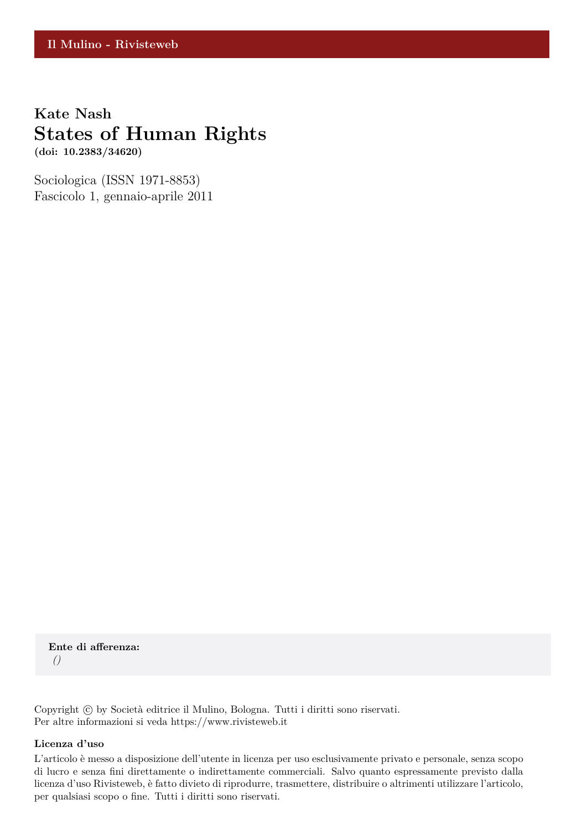# **Kate Nash States of Human Rights**

**(doi: 10.2383/34620)**

Sociologica (ISSN 1971-8853) Fascicolo 1, gennaio-aprile 2011

**Ente di afferenza:** *()*

Copyright © by Società editrice il Mulino, Bologna. Tutti i diritti sono riservati. Per altre informazioni si veda https://www.rivisteweb.it

#### **Licenza d'uso**

L'articolo è messo a disposizione dell'utente in licenza per uso esclusivamente privato e personale, senza scopo di lucro e senza fini direttamente o indirettamente commerciali. Salvo quanto espressamente previsto dalla licenza d'uso Rivisteweb, è fatto divieto di riprodurre, trasmettere, distribuire o altrimenti utilizzare l'articolo, per qualsiasi scopo o fine. Tutti i diritti sono riservati.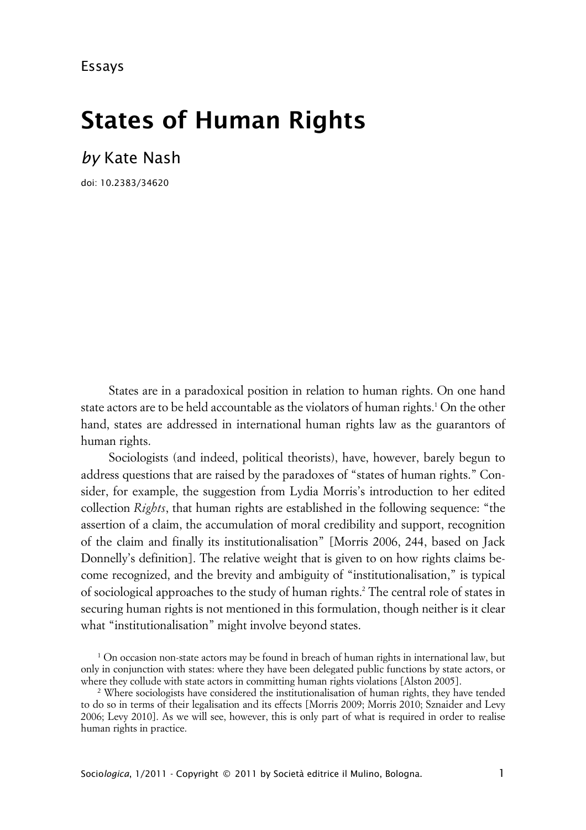Essays

# **States of Human Rights**

*by* Kate Nash

doi: 10.2383/34620

States are in a paradoxical position in relation to human rights. On one hand state actors are to be held accountable as the violators of human rights. $^{\rm 1}$  On the other hand, states are addressed in international human rights law as the guarantors of human rights.

Sociologists (and indeed, political theorists), have, however, barely begun to address questions that are raised by the paradoxes of "states of human rights." Consider, for example, the suggestion from Lydia Morris's introduction to her edited collection *Rights*, that human rights are established in the following sequence: "the assertion of a claim, the accumulation of moral credibility and support, recognition of the claim and finally its institutionalisation" [Morris 2006, 244, based on Jack Donnelly's definition]. The relative weight that is given to on how rights claims become recognized, and the brevity and ambiguity of "institutionalisation," is typical of sociological approaches to the study of human rights.<sup>2</sup> The central role of states in securing human rights is not mentioned in this formulation, though neither is it clear what "institutionalisation" might involve beyond states.

 $^{\rm 1}$  On occasion non-state actors may be found in breach of human rights in international law, but only in conjunction with states: where they have been delegated public functions by state actors, or where they collude with state actors in committing human rights violations [Alston 2005].

<sup>2</sup> Where sociologists have considered the institutionalisation of human rights, they have tended to do so in terms of their legalisation and its effects [Morris 2009; Morris 2010; Sznaider and Levy 2006; Levy 2010]. As we will see, however, this is only part of what is required in order to realise human rights in practice.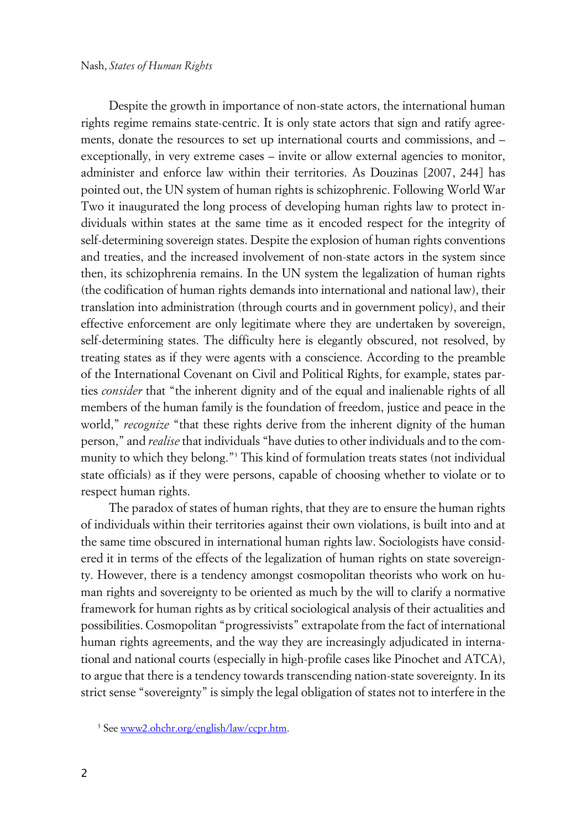Despite the growth in importance of non-state actors, the international human rights regime remains state-centric. It is only state actors that sign and ratify agreements, donate the resources to set up international courts and commissions, and – exceptionally, in very extreme cases – invite or allow external agencies to monitor, administer and enforce law within their territories. As Douzinas [2007, 244] has pointed out, the UN system of human rights is schizophrenic. Following World War Two it inaugurated the long process of developing human rights law to protect individuals within states at the same time as it encoded respect for the integrity of self-determining sovereign states. Despite the explosion of human rights conventions and treaties, and the increased involvement of non-state actors in the system since then, its schizophrenia remains. In the UN system the legalization of human rights (the codification of human rights demands into international and national law), their translation into administration (through courts and in government policy), and their effective enforcement are only legitimate where they are undertaken by sovereign, self-determining states. The difficulty here is elegantly obscured, not resolved, by treating states as if they were agents with a conscience. According to the preamble of the International Covenant on Civil and Political Rights, for example, states parties *consider* that "the inherent dignity and of the equal and inalienable rights of all members of the human family is the foundation of freedom, justice and peace in the world," *recognize* "that these rights derive from the inherent dignity of the human person," and *realise* that individuals "have duties to other individuals and to the community to which they belong."<sup>3</sup> This kind of formulation treats states (not individual state officials) as if they were persons, capable of choosing whether to violate or to respect human rights.

The paradox of states of human rights, that they are to ensure the human rights of individuals within their territories against their own violations, is built into and at the same time obscured in international human rights law. Sociologists have considered it in terms of the effects of the legalization of human rights on state sovereignty. However, there is a tendency amongst cosmopolitan theorists who work on human rights and sovereignty to be oriented as much by the will to clarify a normative framework for human rights as by critical sociological analysis of their actualities and possibilities. Cosmopolitan "progressivists" extrapolate from the fact of international human rights agreements, and the way they are increasingly adjudicated in international and national courts (especially in high-profile cases like Pinochet and ATCA), to argue that there is a tendency towards transcending nation-state sovereignty. In its strict sense "sovereignty" is simply the legal obligation of states not to interfere in the

<sup>&</sup>lt;sup>3</sup> See <u>www2.ohchr.org/english/law/ccpr.htm</u>.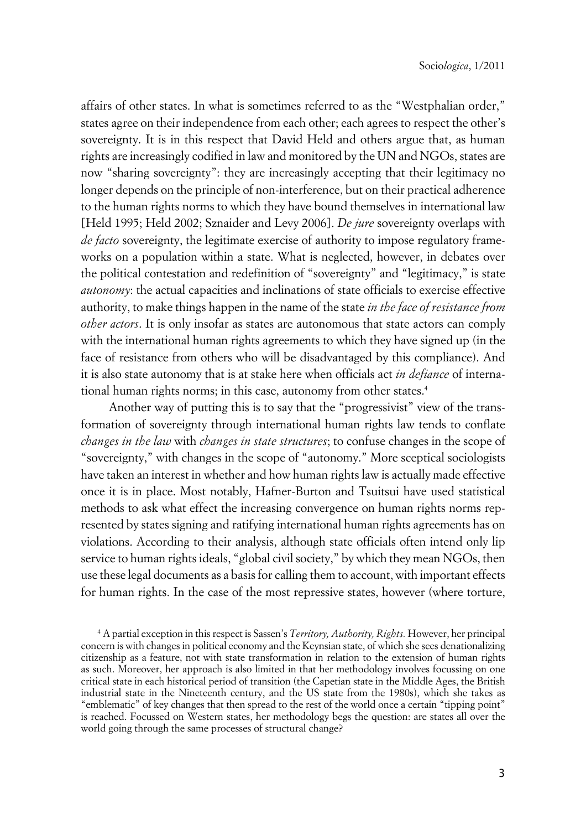affairs of other states. In what is sometimes referred to as the "Westphalian order," states agree on their independence from each other; each agrees to respect the other's sovereignty. It is in this respect that David Held and others argue that, as human rights are increasingly codified in law and monitored by the UN and NGOs, states are now "sharing sovereignty": they are increasingly accepting that their legitimacy no longer depends on the principle of non-interference, but on their practical adherence to the human rights norms to which they have bound themselves in international law [Held 1995; Held 2002; Sznaider and Levy 2006]. *De jure* sovereignty overlaps with *de facto* sovereignty, the legitimate exercise of authority to impose regulatory frameworks on a population within a state. What is neglected, however, in debates over the political contestation and redefinition of "sovereignty" and "legitimacy," is state *autonomy*: the actual capacities and inclinations of state officials to exercise effective authority, to make things happen in the name of the state *in the face of resistance from other actors*. It is only insofar as states are autonomous that state actors can comply with the international human rights agreements to which they have signed up (in the face of resistance from others who will be disadvantaged by this compliance). And it is also state autonomy that is at stake here when officials act *in defiance* of international human rights norms; in this case, autonomy from other states.<sup>4</sup>

Another way of putting this is to say that the "progressivist" view of the transformation of sovereignty through international human rights law tends to conflate *changes in the law* with *changes in state structures*; to confuse changes in the scope of "sovereignty," with changes in the scope of "autonomy." More sceptical sociologists have taken an interest in whether and how human rights law is actually made effective once it is in place. Most notably, Hafner-Burton and Tsuitsui have used statistical methods to ask what effect the increasing convergence on human rights norms represented by states signing and ratifying international human rights agreements has on violations. According to their analysis, although state officials often intend only lip service to human rights ideals, "global civil society," by which they mean NGOs, then use these legal documents as a basis for calling them to account, with important effects for human rights. In the case of the most repressive states, however (where torture,

<sup>4</sup> A partial exception in this respect is Sassen's *Territory, Authority, Rights.* However, her principal concern is with changes in political economy and the Keynsian state, of which she sees denationalizing citizenship as a feature, not with state transformation in relation to the extension of human rights as such. Moreover, her approach is also limited in that her methodology involves focussing on one critical state in each historical period of transition (the Capetian state in the Middle Ages, the British industrial state in the Nineteenth century, and the US state from the 1980s), which she takes as "emblematic" of key changes that then spread to the rest of the world once a certain "tipping point" is reached. Focussed on Western states, her methodology begs the question: are states all over the world going through the same processes of structural change?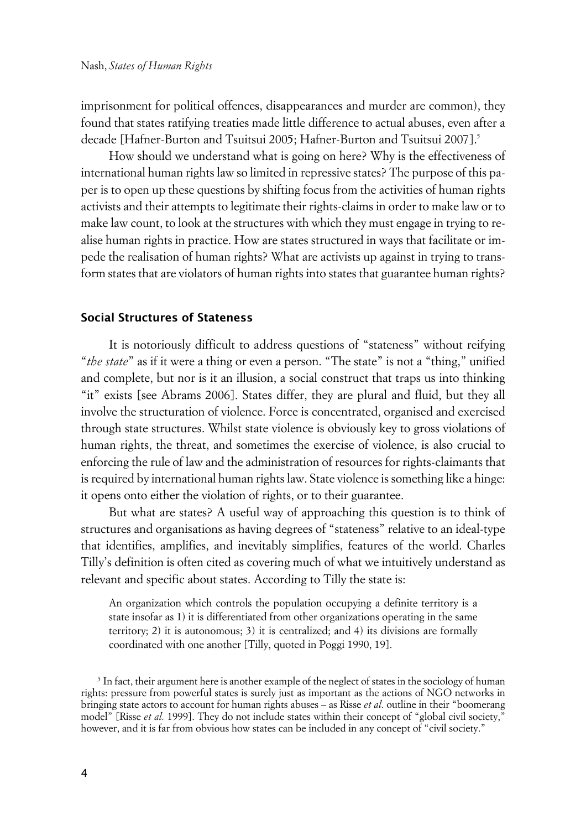imprisonment for political offences, disappearances and murder are common), they found that states ratifying treaties made little difference to actual abuses, even after a decade [Hafner-Burton and Tsuitsui 2005; Hafner-Burton and Tsuitsui 2007].<sup>5</sup>

How should we understand what is going on here? Why is the effectiveness of international human rights law so limited in repressive states? The purpose of this paper is to open up these questions by shifting focus from the activities of human rights activists and their attempts to legitimate their rights-claims in order to make law or to make law count, to look at the structures with which they must engage in trying to realise human rights in practice. How are states structured in ways that facilitate or impede the realisation of human rights? What are activists up against in trying to transform states that are violators of human rights into states that guarantee human rights?

#### **Social Structures of Stateness**

It is notoriously difficult to address questions of "stateness" without reifying "*the state*" as if it were a thing or even a person. "The state" is not a "thing," unified and complete, but nor is it an illusion, a social construct that traps us into thinking "it" exists [see Abrams 2006]. States differ, they are plural and fluid, but they all involve the structuration of violence. Force is concentrated, organised and exercised through state structures. Whilst state violence is obviously key to gross violations of human rights, the threat, and sometimes the exercise of violence, is also crucial to enforcing the rule of law and the administration of resources for rights-claimants that is required by international human rights law. State violence is something like a hinge: it opens onto either the violation of rights, or to their guarantee.

But what are states? A useful way of approaching this question is to think of structures and organisations as having degrees of "stateness" relative to an ideal-type that identifies, amplifies, and inevitably simplifies, features of the world. Charles Tilly's definition is often cited as covering much of what we intuitively understand as relevant and specific about states. According to Tilly the state is:

An organization which controls the population occupying a definite territory is a state insofar as 1) it is differentiated from other organizations operating in the same territory; 2) it is autonomous; 3) it is centralized; and 4) its divisions are formally coordinated with one another [Tilly, quoted in Poggi 1990, 19].

 $^5$  In fact, their argument here is another example of the neglect of states in the sociology of human rights: pressure from powerful states is surely just as important as the actions of NGO networks in bringing state actors to account for human rights abuses – as Risse *et al.* outline in their "boomerang model" [Risse *et al.* 1999]. They do not include states within their concept of "global civil society," however, and it is far from obvious how states can be included in any concept of "civil society."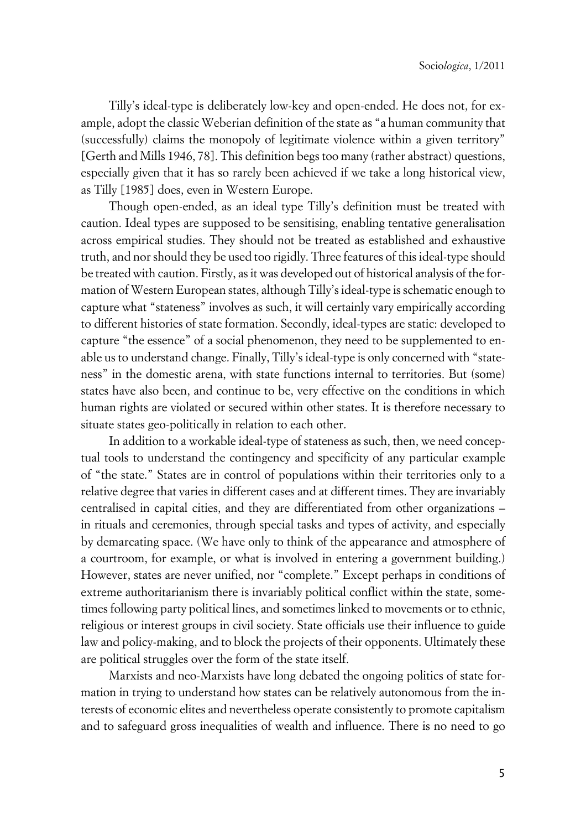Tilly's ideal-type is deliberately low-key and open-ended. He does not, for example, adopt the classic Weberian definition of the state as "a human community that (successfully) claims the monopoly of legitimate violence within a given territory" [Gerth and Mills 1946, 78]. This definition begs too many (rather abstract) questions, especially given that it has so rarely been achieved if we take a long historical view, as Tilly [1985] does, even in Western Europe.

Though open-ended, as an ideal type Tilly's definition must be treated with caution. Ideal types are supposed to be sensitising, enabling tentative generalisation across empirical studies. They should not be treated as established and exhaustive truth, and nor should they be used too rigidly. Three features of this ideal-type should be treated with caution. Firstly, as it was developed out of historical analysis of the formation of Western European states, although Tilly's ideal-type is schematic enough to capture what "stateness" involves as such, it will certainly vary empirically according to different histories of state formation. Secondly, ideal-types are static: developed to capture "the essence" of a social phenomenon, they need to be supplemented to enable us to understand change. Finally, Tilly's ideal-type is only concerned with "stateness" in the domestic arena, with state functions internal to territories. But (some) states have also been, and continue to be, very effective on the conditions in which human rights are violated or secured within other states. It is therefore necessary to situate states geo-politically in relation to each other.

In addition to a workable ideal-type of stateness as such, then, we need conceptual tools to understand the contingency and specificity of any particular example of "the state." States are in control of populations within their territories only to a relative degree that varies in different cases and at different times. They are invariably centralised in capital cities, and they are differentiated from other organizations – in rituals and ceremonies, through special tasks and types of activity, and especially by demarcating space. (We have only to think of the appearance and atmosphere of a courtroom, for example, or what is involved in entering a government building.) However, states are never unified, nor "complete." Except perhaps in conditions of extreme authoritarianism there is invariably political conflict within the state, sometimes following party political lines, and sometimes linked to movements or to ethnic, religious or interest groups in civil society. State officials use their influence to guide law and policy-making, and to block the projects of their opponents. Ultimately these are political struggles over the form of the state itself.

Marxists and neo-Marxists have long debated the ongoing politics of state formation in trying to understand how states can be relatively autonomous from the interests of economic elites and nevertheless operate consistently to promote capitalism and to safeguard gross inequalities of wealth and influence. There is no need to go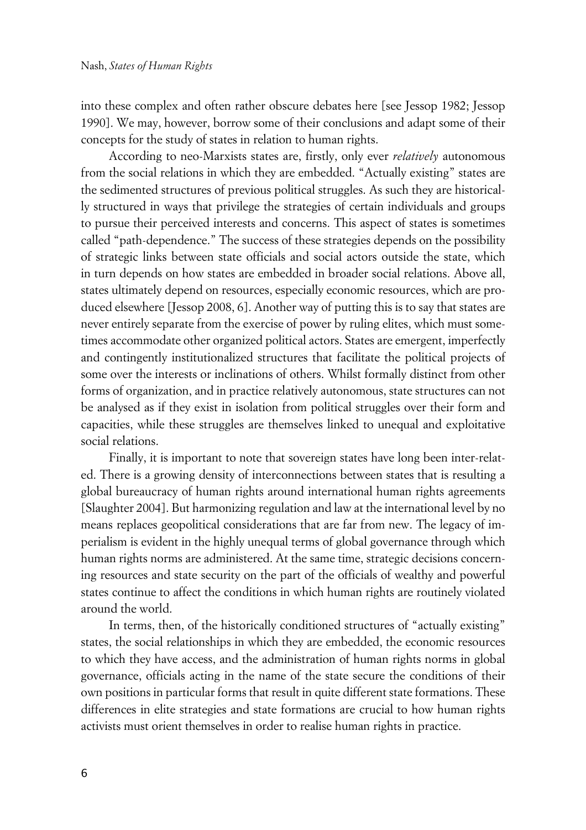into these complex and often rather obscure debates here [see Jessop 1982; Jessop 1990]. We may, however, borrow some of their conclusions and adapt some of their concepts for the study of states in relation to human rights.

According to neo-Marxists states are, firstly, only ever *relatively* autonomous from the social relations in which they are embedded. "Actually existing" states are the sedimented structures of previous political struggles. As such they are historically structured in ways that privilege the strategies of certain individuals and groups to pursue their perceived interests and concerns. This aspect of states is sometimes called "path-dependence." The success of these strategies depends on the possibility of strategic links between state officials and social actors outside the state, which in turn depends on how states are embedded in broader social relations. Above all, states ultimately depend on resources, especially economic resources, which are produced elsewhere [Jessop 2008, 6]. Another way of putting this is to say that states are never entirely separate from the exercise of power by ruling elites, which must sometimes accommodate other organized political actors. States are emergent, imperfectly and contingently institutionalized structures that facilitate the political projects of some over the interests or inclinations of others. Whilst formally distinct from other forms of organization, and in practice relatively autonomous, state structures can not be analysed as if they exist in isolation from political struggles over their form and capacities, while these struggles are themselves linked to unequal and exploitative social relations.

Finally, it is important to note that sovereign states have long been inter-related. There is a growing density of interconnections between states that is resulting a global bureaucracy of human rights around international human rights agreements [Slaughter 2004]. But harmonizing regulation and law at the international level by no means replaces geopolitical considerations that are far from new. The legacy of imperialism is evident in the highly unequal terms of global governance through which human rights norms are administered. At the same time, strategic decisions concerning resources and state security on the part of the officials of wealthy and powerful states continue to affect the conditions in which human rights are routinely violated around the world.

In terms, then, of the historically conditioned structures of "actually existing" states, the social relationships in which they are embedded, the economic resources to which they have access, and the administration of human rights norms in global governance, officials acting in the name of the state secure the conditions of their own positions in particular forms that result in quite different state formations. These differences in elite strategies and state formations are crucial to how human rights activists must orient themselves in order to realise human rights in practice.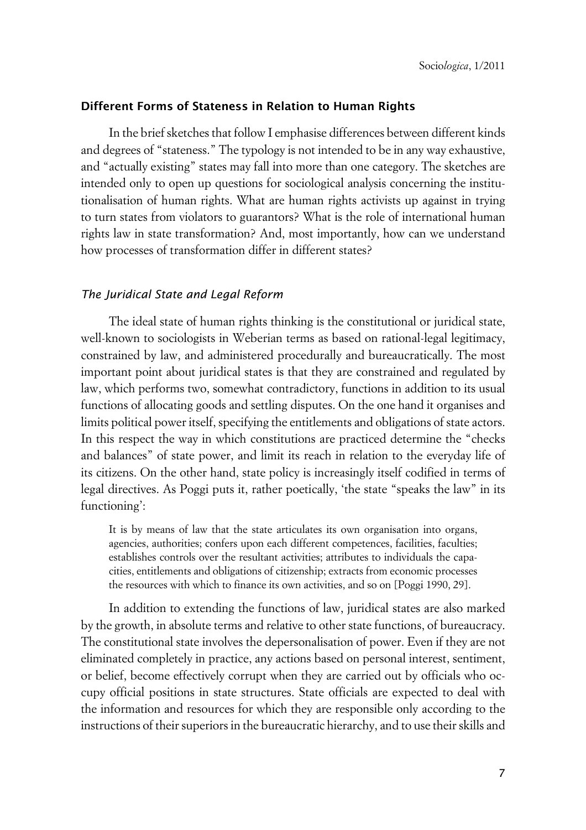#### **xDifferent Forms of Stateness in Relation to Human Rights**

In the brief sketches that follow I emphasise differences between different kinds and degrees of "stateness." The typology is not intended to be in any way exhaustive, and "actually existing" states may fall into more than one category. The sketches are intended only to open up questions for sociological analysis concerning the institutionalisation of human rights. What are human rights activists up against in trying to turn states from violators to guarantors? What is the role of international human rights law in state transformation? And, most importantly, how can we understand how processes of transformation differ in different states?

#### x*The Juridical State and Legal Reform*

The ideal state of human rights thinking is the constitutional or juridical state, well-known to sociologists in Weberian terms as based on rational-legal legitimacy, constrained by law, and administered procedurally and bureaucratically. The most important point about juridical states is that they are constrained and regulated by law, which performs two, somewhat contradictory, functions in addition to its usual functions of allocating goods and settling disputes. On the one hand it organises and limits political power itself, specifying the entitlements and obligations of state actors. In this respect the way in which constitutions are practiced determine the "checks and balances" of state power, and limit its reach in relation to the everyday life of its citizens. On the other hand, state policy is increasingly itself codified in terms of legal directives. As Poggi puts it, rather poetically, 'the state "speaks the law" in its functioning':

It is by means of law that the state articulates its own organisation into organs, agencies, authorities; confers upon each different competences, facilities, faculties; establishes controls over the resultant activities; attributes to individuals the capacities, entitlements and obligations of citizenship; extracts from economic processes the resources with which to finance its own activities, and so on [Poggi 1990, 29].

In addition to extending the functions of law, juridical states are also marked by the growth, in absolute terms and relative to other state functions, of bureaucracy. The constitutional state involves the depersonalisation of power. Even if they are not eliminated completely in practice, any actions based on personal interest, sentiment, or belief, become effectively corrupt when they are carried out by officials who occupy official positions in state structures. State officials are expected to deal with the information and resources for which they are responsible only according to the instructions of their superiors in the bureaucratic hierarchy, and to use their skills and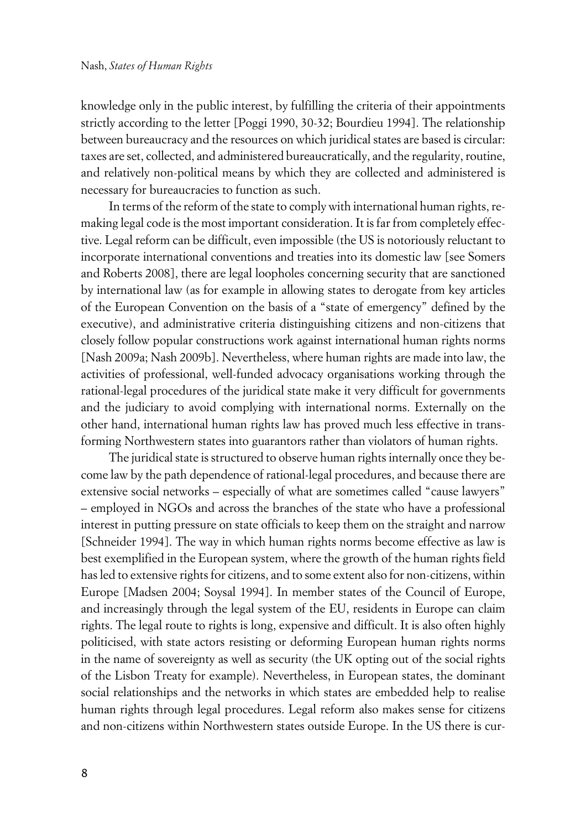knowledge only in the public interest, by fulfilling the criteria of their appointments strictly according to the letter [Poggi 1990, 30-32; Bourdieu 1994]. The relationship between bureaucracy and the resources on which juridical states are based is circular: taxes are set, collected, and administered bureaucratically, and the regularity, routine, and relatively non-political means by which they are collected and administered is necessary for bureaucracies to function as such.

In terms of the reform of the state to comply with international human rights, remaking legal code is the most important consideration. It is far from completely effective. Legal reform can be difficult, even impossible (the US is notoriously reluctant to incorporate international conventions and treaties into its domestic law [see Somers and Roberts 2008], there are legal loopholes concerning security that are sanctioned by international law (as for example in allowing states to derogate from key articles of the European Convention on the basis of a "state of emergency" defined by the executive), and administrative criteria distinguishing citizens and non-citizens that closely follow popular constructions work against international human rights norms [Nash 2009a; Nash 2009b]. Nevertheless, where human rights are made into law, the activities of professional, well-funded advocacy organisations working through the rational-legal procedures of the juridical state make it very difficult for governments and the judiciary to avoid complying with international norms. Externally on the other hand, international human rights law has proved much less effective in transforming Northwestern states into guarantors rather than violators of human rights.

The juridical state is structured to observe human rights internally once they become law by the path dependence of rational-legal procedures, and because there are extensive social networks – especially of what are sometimes called "cause lawyers" – employed in NGOs and across the branches of the state who have a professional interest in putting pressure on state officials to keep them on the straight and narrow [Schneider 1994]. The way in which human rights norms become effective as law is best exemplified in the European system, where the growth of the human rights field has led to extensive rights for citizens, and to some extent also for non-citizens, within Europe [Madsen 2004; Soysal 1994]. In member states of the Council of Europe, and increasingly through the legal system of the EU, residents in Europe can claim rights. The legal route to rights is long, expensive and difficult. It is also often highly politicised, with state actors resisting or deforming European human rights norms in the name of sovereignty as well as security (the UK opting out of the social rights of the Lisbon Treaty for example). Nevertheless, in European states, the dominant social relationships and the networks in which states are embedded help to realise human rights through legal procedures. Legal reform also makes sense for citizens and non-citizens within Northwestern states outside Europe. In the US there is cur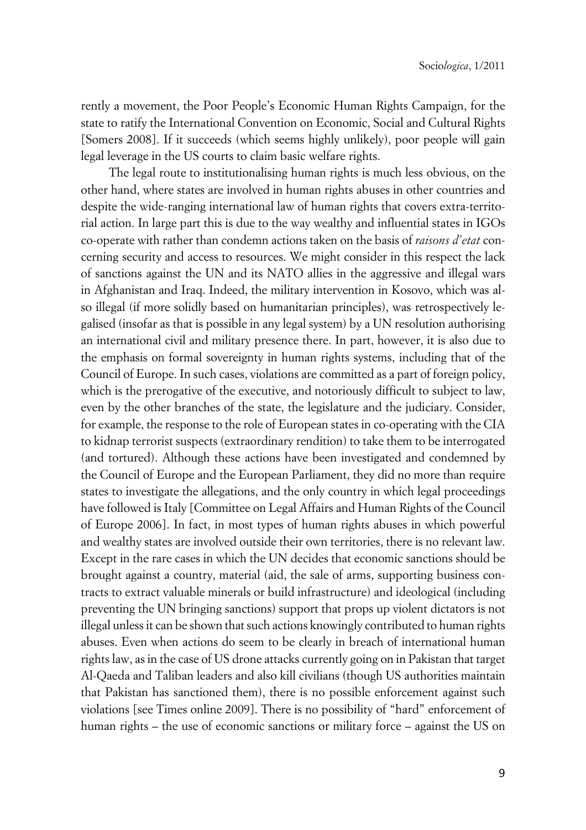rently a movement, the Poor People's Economic Human Rights Campaign, for the state to ratify the International Convention on Economic, Social and Cultural Rights [Somers 2008]. If it succeeds (which seems highly unlikely), poor people will gain legal leverage in the US courts to claim basic welfare rights.

The legal route to institutionalising human rights is much less obvious, on the other hand, where states are involved in human rights abuses in other countries and despite the wide-ranging international law of human rights that covers extra-territorial action. In large part this is due to the way wealthy and influential states in IGOs co-operate with rather than condemn actions taken on the basis of *raisons d'etat* concerning security and access to resources. We might consider in this respect the lack of sanctions against the UN and its NATO allies in the aggressive and illegal wars in Afghanistan and Iraq. Indeed, the military intervention in Kosovo, which was also illegal (if more solidly based on humanitarian principles), was retrospectively legalised (insofar as that is possible in any legal system) by a UN resolution authorising an international civil and military presence there. In part, however, it is also due to the emphasis on formal sovereignty in human rights systems, including that of the Council of Europe. In such cases, violations are committed as a part of foreign policy, which is the prerogative of the executive, and notoriously difficult to subject to law, even by the other branches of the state, the legislature and the judiciary. Consider, for example, the response to the role of European states in co-operating with the CIA to kidnap terrorist suspects (extraordinary rendition) to take them to be interrogated (and tortured). Although these actions have been investigated and condemned by the Council of Europe and the European Parliament, they did no more than require states to investigate the allegations, and the only country in which legal proceedings have followed is Italy [Committee on Legal Affairs and Human Rights of the Council of Europe 2006]. In fact, in most types of human rights abuses in which powerful and wealthy states are involved outside their own territories, there is no relevant law. Except in the rare cases in which the UN decides that economic sanctions should be brought against a country, material (aid, the sale of arms, supporting business contracts to extract valuable minerals or build infrastructure) and ideological (including preventing the UN bringing sanctions) support that props up violent dictators is not illegal unless it can be shown that such actions knowingly contributed to human rights abuses. Even when actions do seem to be clearly in breach of international human rights law, as in the case of US drone attacks currently going on in Pakistan that target Al-Qaeda and Taliban leaders and also kill civilians (though US authorities maintain that Pakistan has sanctioned them), there is no possible enforcement against such violations [see Times online 2009]. There is no possibility of "hard" enforcement of human rights – the use of economic sanctions or military force – against the US on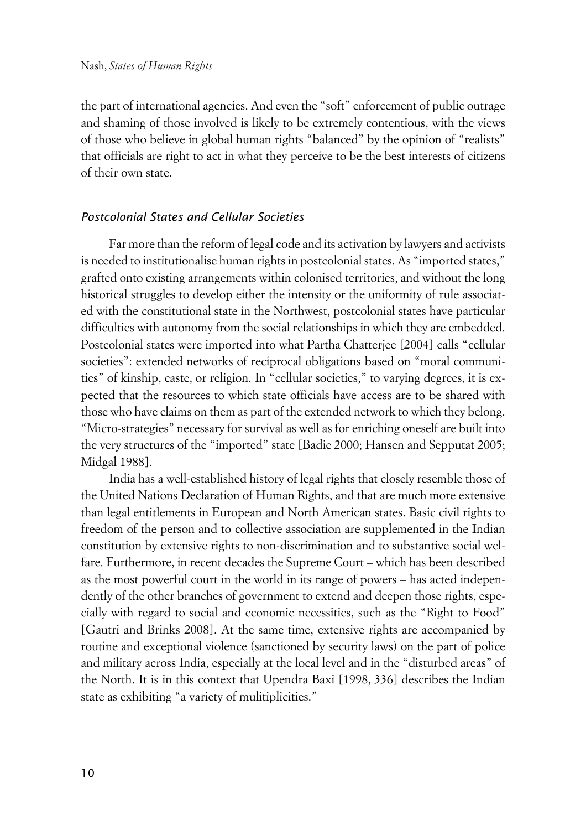the part of international agencies. And even the "soft" enforcement of public outrage and shaming of those involved is likely to be extremely contentious, with the views of those who believe in global human rights "balanced" by the opinion of "realists" that officials are right to act in what they perceive to be the best interests of citizens of their own state.

#### x*Postcolonial States and Cellular Societies*

Far more than the reform of legal code and its activation by lawyers and activists is needed to institutionalise human rights in postcolonial states. As "imported states," grafted onto existing arrangements within colonised territories, and without the long historical struggles to develop either the intensity or the uniformity of rule associated with the constitutional state in the Northwest, postcolonial states have particular difficulties with autonomy from the social relationships in which they are embedded. Postcolonial states were imported into what Partha Chatterjee [2004] calls "cellular societies": extended networks of reciprocal obligations based on "moral communities" of kinship, caste, or religion. In "cellular societies," to varying degrees, it is expected that the resources to which state officials have access are to be shared with those who have claims on them as part of the extended network to which they belong. "Micro-strategies" necessary for survival as well as for enriching oneself are built into the very structures of the "imported" state [Badie 2000; Hansen and Sepputat 2005; Midgal 1988].

India has a well-established history of legal rights that closely resemble those of the United Nations Declaration of Human Rights, and that are much more extensive than legal entitlements in European and North American states. Basic civil rights to freedom of the person and to collective association are supplemented in the Indian constitution by extensive rights to non-discrimination and to substantive social welfare. Furthermore, in recent decades the Supreme Court – which has been described as the most powerful court in the world in its range of powers – has acted independently of the other branches of government to extend and deepen those rights, especially with regard to social and economic necessities, such as the "Right to Food" [Gautri and Brinks 2008]. At the same time, extensive rights are accompanied by routine and exceptional violence (sanctioned by security laws) on the part of police and military across India, especially at the local level and in the "disturbed areas" of the North. It is in this context that Upendra Baxi [1998, 336] describes the Indian state as exhibiting "a variety of mulitiplicities."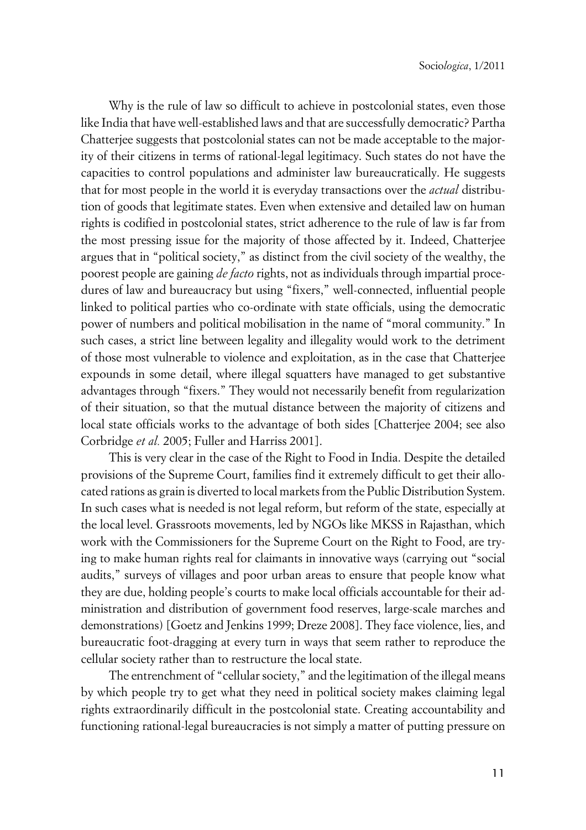Why is the rule of law so difficult to achieve in postcolonial states, even those like India that have well-established laws and that are successfully democratic? Partha Chatterjee suggests that postcolonial states can not be made acceptable to the majority of their citizens in terms of rational-legal legitimacy. Such states do not have the capacities to control populations and administer law bureaucratically. He suggests that for most people in the world it is everyday transactions over the *actual* distribution of goods that legitimate states. Even when extensive and detailed law on human rights is codified in postcolonial states, strict adherence to the rule of law is far from the most pressing issue for the majority of those affected by it. Indeed, Chatterjee argues that in "political society," as distinct from the civil society of the wealthy, the poorest people are gaining *de facto* rights, not as individuals through impartial procedures of law and bureaucracy but using "fixers," well-connected, influential people linked to political parties who co-ordinate with state officials, using the democratic power of numbers and political mobilisation in the name of "moral community." In such cases, a strict line between legality and illegality would work to the detriment of those most vulnerable to violence and exploitation, as in the case that Chatterjee expounds in some detail, where illegal squatters have managed to get substantive advantages through "fixers." They would not necessarily benefit from regularization of their situation, so that the mutual distance between the majority of citizens and local state officials works to the advantage of both sides [Chatterjee 2004; see also Corbridge *et al.* 2005; Fuller and Harriss 2001].

This is very clear in the case of the Right to Food in India. Despite the detailed provisions of the Supreme Court, families find it extremely difficult to get their allocated rations as grain is diverted to local markets from the Public Distribution System. In such cases what is needed is not legal reform, but reform of the state, especially at the local level. Grassroots movements, led by NGOs like MKSS in Rajasthan, which work with the Commissioners for the Supreme Court on the Right to Food, are trying to make human rights real for claimants in innovative ways (carrying out "social audits," surveys of villages and poor urban areas to ensure that people know what they are due, holding people's courts to make local officials accountable for their administration and distribution of government food reserves, large-scale marches and demonstrations) [Goetz and Jenkins 1999; Dreze 2008]. They face violence, lies, and bureaucratic foot-dragging at every turn in ways that seem rather to reproduce the cellular society rather than to restructure the local state.

The entrenchment of "cellular society," and the legitimation of the illegal means by which people try to get what they need in political society makes claiming legal rights extraordinarily difficult in the postcolonial state. Creating accountability and functioning rational-legal bureaucracies is not simply a matter of putting pressure on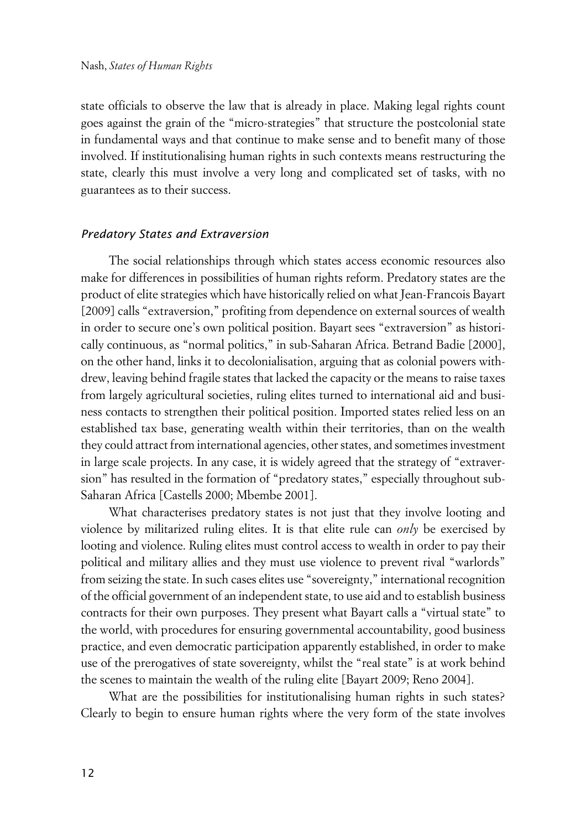state officials to observe the law that is already in place. Making legal rights count goes against the grain of the "micro-strategies" that structure the postcolonial state in fundamental ways and that continue to make sense and to benefit many of those involved. If institutionalising human rights in such contexts means restructuring the state, clearly this must involve a very long and complicated set of tasks, with no guarantees as to their success.

#### x*Predatory States and Extraversion*

The social relationships through which states access economic resources also make for differences in possibilities of human rights reform. Predatory states are the product of elite strategies which have historically relied on what Jean-Francois Bayart [2009] calls "extraversion," profiting from dependence on external sources of wealth in order to secure one's own political position. Bayart sees "extraversion" as historically continuous, as "normal politics," in sub-Saharan Africa. Betrand Badie [2000], on the other hand, links it to decolonialisation, arguing that as colonial powers withdrew, leaving behind fragile states that lacked the capacity or the means to raise taxes from largely agricultural societies, ruling elites turned to international aid and business contacts to strengthen their political position. Imported states relied less on an established tax base, generating wealth within their territories, than on the wealth they could attract from international agencies, other states, and sometimes investment in large scale projects. In any case, it is widely agreed that the strategy of "extraversion" has resulted in the formation of "predatory states," especially throughout sub-Saharan Africa [Castells 2000; Mbembe 2001].

What characterises predatory states is not just that they involve looting and violence by militarized ruling elites. It is that elite rule can *only* be exercised by looting and violence. Ruling elites must control access to wealth in order to pay their political and military allies and they must use violence to prevent rival "warlords" from seizing the state. In such cases elites use "sovereignty," international recognition of the official government of an independent state, to use aid and to establish business contracts for their own purposes. They present what Bayart calls a "virtual state" to the world, with procedures for ensuring governmental accountability, good business practice, and even democratic participation apparently established, in order to make use of the prerogatives of state sovereignty, whilst the "real state" is at work behind the scenes to maintain the wealth of the ruling elite [Bayart 2009; Reno 2004].

What are the possibilities for institutionalising human rights in such states? Clearly to begin to ensure human rights where the very form of the state involves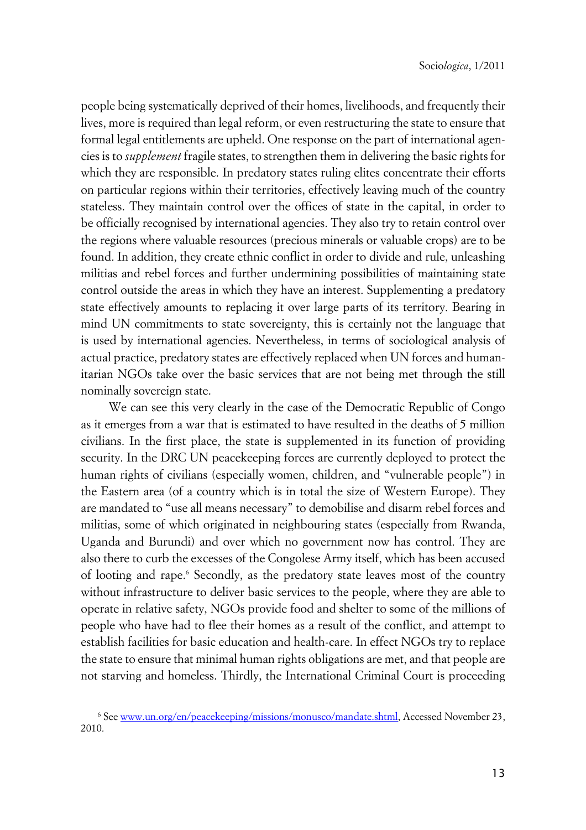people being systematically deprived of their homes, livelihoods, and frequently their lives, more is required than legal reform, or even restructuring the state to ensure that formal legal entitlements are upheld. One response on the part of international agencies is to *supplement* fragile states, to strengthen them in delivering the basic rights for which they are responsible. In predatory states ruling elites concentrate their efforts on particular regions within their territories, effectively leaving much of the country stateless. They maintain control over the offices of state in the capital, in order to be officially recognised by international agencies. They also try to retain control over the regions where valuable resources (precious minerals or valuable crops) are to be found. In addition, they create ethnic conflict in order to divide and rule, unleashing militias and rebel forces and further undermining possibilities of maintaining state control outside the areas in which they have an interest. Supplementing a predatory state effectively amounts to replacing it over large parts of its territory. Bearing in mind UN commitments to state sovereignty, this is certainly not the language that is used by international agencies. Nevertheless, in terms of sociological analysis of actual practice, predatory states are effectively replaced when UN forces and humanitarian NGOs take over the basic services that are not being met through the still nominally sovereign state.

We can see this very clearly in the case of the Democratic Republic of Congo as it emerges from a war that is estimated to have resulted in the deaths of 5 million civilians. In the first place, the state is supplemented in its function of providing security. In the DRC UN peacekeeping forces are currently deployed to protect the human rights of civilians (especially women, children, and "vulnerable people") in the Eastern area (of a country which is in total the size of Western Europe). They are mandated to "use all means necessary" to demobilise and disarm rebel forces and militias, some of which originated in neighbouring states (especially from Rwanda, Uganda and Burundi) and over which no government now has control. They are also there to curb the excesses of the Congolese Army itself, which has been accused of looting and rape.<sup>6</sup> Secondly, as the predatory state leaves most of the country without infrastructure to deliver basic services to the people, where they are able to operate in relative safety, NGOs provide food and shelter to some of the millions of people who have had to flee their homes as a result of the conflict, and attempt to establish facilities for basic education and health-care. In effect NGOs try to replace the state to ensure that minimal human rights obligations are met, and that people are not starving and homeless. Thirdly, the International Criminal Court is proceeding

<sup>&</sup>lt;sup>6</sup> See <u>www.un.org/en/peacekeeping/missions/monusco/mandate.shtml,</u> Accessed November 23, 2010.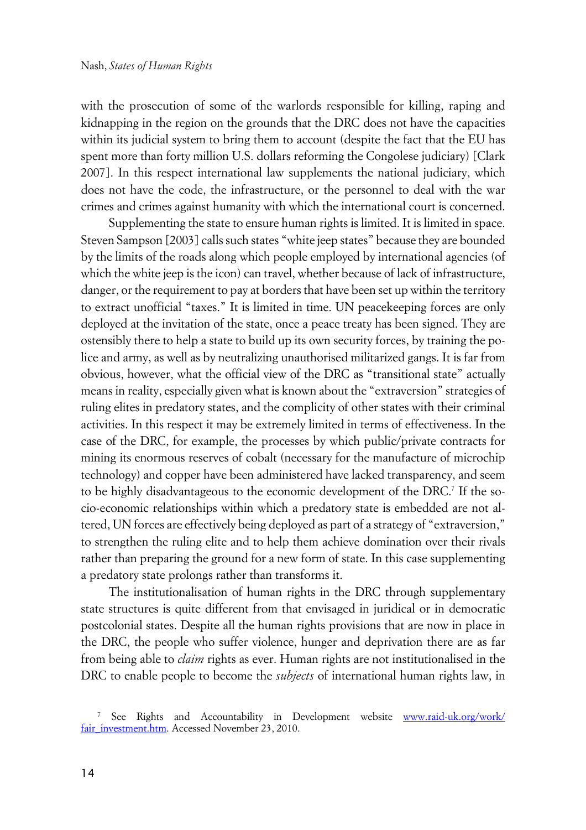with the prosecution of some of the warlords responsible for killing, raping and kidnapping in the region on the grounds that the DRC does not have the capacities within its judicial system to bring them to account (despite the fact that the EU has spent more than forty million U.S. dollars reforming the Congolese judiciary) [Clark 2007]. In this respect international law supplements the national judiciary, which does not have the code, the infrastructure, or the personnel to deal with the war crimes and crimes against humanity with which the international court is concerned.

Supplementing the state to ensure human rights is limited. It is limited in space. Steven Sampson [2003] calls such states "white jeep states" because they are bounded by the limits of the roads along which people employed by international agencies (of which the white jeep is the icon) can travel, whether because of lack of infrastructure, danger, or the requirement to pay at borders that have been set up within the territory to extract unofficial "taxes." It is limited in time. UN peacekeeping forces are only deployed at the invitation of the state, once a peace treaty has been signed. They are ostensibly there to help a state to build up its own security forces, by training the police and army, as well as by neutralizing unauthorised militarized gangs. It is far from obvious, however, what the official view of the DRC as "transitional state" actually means in reality, especially given what is known about the "extraversion" strategies of ruling elites in predatory states, and the complicity of other states with their criminal activities. In this respect it may be extremely limited in terms of effectiveness. In the case of the DRC, for example, the processes by which public/private contracts for mining its enormous reserves of cobalt (necessary for the manufacture of microchip technology) and copper have been administered have lacked transparency, and seem to be highly disadvantageous to the economic development of the DRC.<sup>7</sup> If the socio-economic relationships within which a predatory state is embedded are not altered, UN forces are effectively being deployed as part of a strategy of "extraversion," to strengthen the ruling elite and to help them achieve domination over their rivals rather than preparing the ground for a new form of state. In this case supplementing a predatory state prolongs rather than transforms it.

The institutionalisation of human rights in the DRC through supplementary state structures is quite different from that envisaged in juridical or in democratic postcolonial states. Despite all the human rights provisions that are now in place in the DRC, the people who suffer violence, hunger and deprivation there are as far from being able to *claim* rights as ever. Human rights are not institutionalised in the DRC to enable people to become the *subjects* of international human rights law, in

<sup>7</sup> See Rights and Accountability in Development website [www.raid-uk.org/work/](http://www.raid-uk.org/work/fair_investment.htm) [fair\\_investment.htm](http://www.raid-uk.org/work/fair_investment.htm). Accessed November 23, 2010.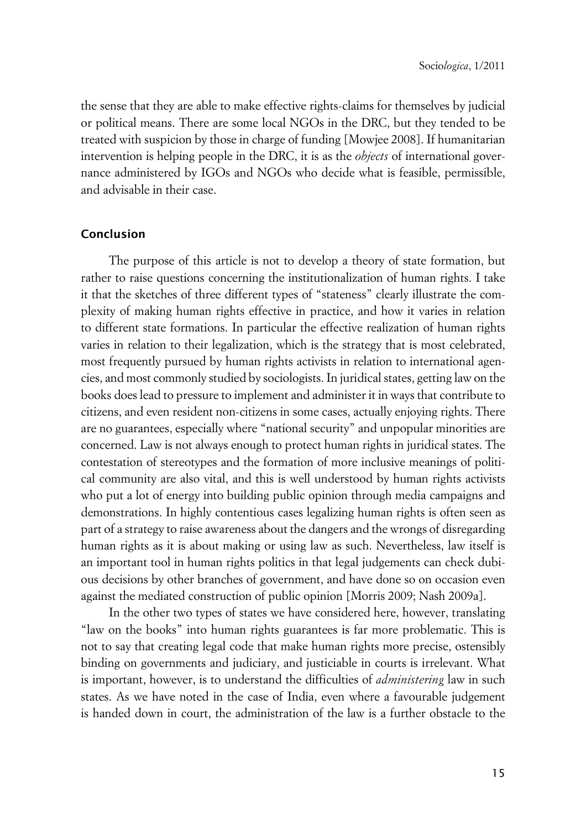the sense that they are able to make effective rights-claims for themselves by judicial or political means. There are some local NGOs in the DRC, but they tended to be treated with suspicion by those in charge of funding [Mowjee 2008]. If humanitarian intervention is helping people in the DRC, it is as the *objects* of international governance administered by IGOs and NGOs who decide what is feasible, permissible, and advisable in their case.

#### **Conclusion**

The purpose of this article is not to develop a theory of state formation, but rather to raise questions concerning the institutionalization of human rights. I take it that the sketches of three different types of "stateness" clearly illustrate the complexity of making human rights effective in practice, and how it varies in relation to different state formations. In particular the effective realization of human rights varies in relation to their legalization, which is the strategy that is most celebrated, most frequently pursued by human rights activists in relation to international agencies, and most commonly studied by sociologists. In juridical states, getting law on the books does lead to pressure to implement and administer it in ways that contribute to citizens, and even resident non-citizens in some cases, actually enjoying rights. There are no guarantees, especially where "national security" and unpopular minorities are concerned. Law is not always enough to protect human rights in juridical states. The contestation of stereotypes and the formation of more inclusive meanings of political community are also vital, and this is well understood by human rights activists who put a lot of energy into building public opinion through media campaigns and demonstrations. In highly contentious cases legalizing human rights is often seen as part of a strategy to raise awareness about the dangers and the wrongs of disregarding human rights as it is about making or using law as such. Nevertheless, law itself is an important tool in human rights politics in that legal judgements can check dubious decisions by other branches of government, and have done so on occasion even against the mediated construction of public opinion [Morris 2009; Nash 2009a].

In the other two types of states we have considered here, however, translating "law on the books" into human rights guarantees is far more problematic. This is not to say that creating legal code that make human rights more precise, ostensibly binding on governments and judiciary, and justiciable in courts is irrelevant. What is important, however, is to understand the difficulties of *administering* law in such states. As we have noted in the case of India, even where a favourable judgement is handed down in court, the administration of the law is a further obstacle to the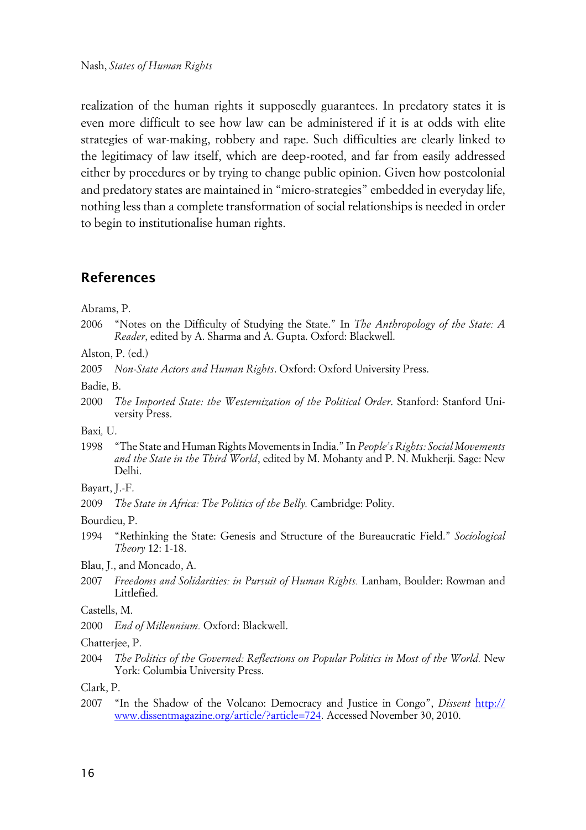realization of the human rights it supposedly guarantees. In predatory states it is even more difficult to see how law can be administered if it is at odds with elite strategies of war-making, robbery and rape. Such difficulties are clearly linked to the legitimacy of law itself, which are deep-rooted, and far from easily addressed either by procedures or by trying to change public opinion. Given how postcolonial and predatory states are maintained in "micro-strategies" embedded in everyday life, nothing less than a complete transformation of social relationships is needed in order to begin to institutionalise human rights.

### **References**

Abrams, P.

- 2006 "Notes on the Difficulty of Studying the State." In *The Anthropology of the State: A Reader*, edited by A. Sharma and A. Gupta. Oxford: Blackwell.
- Alston, P. (ed.)
- 2005 *Non*-*State Actors and Human Rights*. Oxford: Oxford University Press.

Badie, B.

2000 *The Imported State: the Westernization of the Political Order*. Stanford: Stanford University Press.

Baxi*,* U.

- 1998 "The State and Human Rights Movements in India." In *People's Rights: Social Movements and the State in the Third World*, edited by M. Mohanty and P. N. Mukherji. Sage: New Delhi.
- Bayart, J.-F.
- 2009 *The State in Africa: The Politics of the Belly.* Cambridge: Polity.

Bourdieu, P.

1994 "Rethinking the State: Genesis and Structure of the Bureaucratic Field." *Sociological Theory* 12: 1-18.

Blau, J., and Moncado, A.

2007 *Freedoms and Solidarities: in Pursuit of Human Rights.* Lanham, Boulder: Rowman and Littlefied.

#### Castells, M.

2000 *End of Millennium.* Oxford: Blackwell.

#### Chatterjee, P.

2004 *The Politics of the Governed: Reflections on Popular Politics in Most of the World.* New York: Columbia University Press.

Clark, P.

2007 "In the Shadow of the Volcano: Democracy and Justice in Congo", *Dissent* [http://](http://www.dissentmagazine.org/article/?article=?724?) [www.dissentmagazine.org/article/?article=724](http://www.dissentmagazine.org/article/?article=?724?). Accessed November 30, 2010.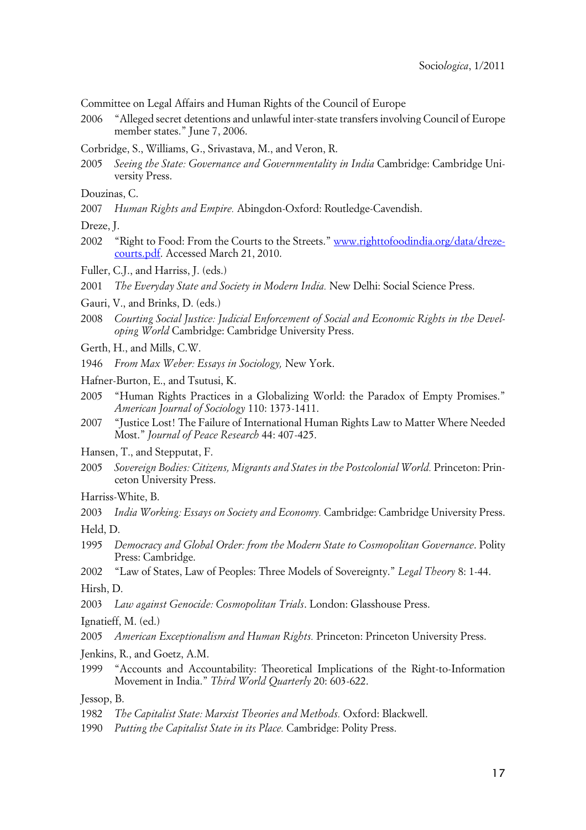Committee on Legal Affairs and Human Rights of the Council of Europe

- 2006 "Alleged secret detentions and unlawful inter-state transfers involving Council of Europe member states." June 7, 2006.
- Corbridge, S., Williams, G., Srivastava, M., and Veron, R.
- 2005 *Seeing the State: Governance and Governmentality in India* Cambridge: Cambridge University Press.

2007 *Human Rights and Empire.* Abingdon-Oxford: Routledge-Cavendish.

Dreze, J.

- 2002 "Right to Food: From the Courts to the Streets." [www.righttofoodindia.org/data/dreze](http://www.righttofoodindia.org/data/dreze-courts.pdf)[courts.pdf.](http://www.righttofoodindia.org/data/dreze-courts.pdf) Accessed March 21, 2010.
- Fuller, C.J., and Harriss, J. (eds.)

2001 *The Everyday State and Society in Modern India.* New Delhi: Social Science Press.

- Gauri, V., and Brinks, D. (eds.)
- 2008 *Courting Social Justice: Judicial Enforcement of Social and Economic Rights in the Developing World* Cambridge: Cambridge University Press.
- Gerth, H., and Mills, C.W.
- 1946 *From Max Weber: Essays in Sociology,* New York.
- Hafner-Burton, E., and Tsutusi, K.
- 2005 "Human Rights Practices in a Globalizing World: the Paradox of Empty Promises." *American Journal of Sociology* 110: 1373-1411.
- 2007 "Justice Lost! The Failure of International Human Rights Law to Matter Where Needed Most." *Journal of Peace Research* 44: 407-425.
- Hansen, T., and Stepputat, F.
- 2005 *Sovereign Bodies: Citizens, Migrants and States in the Postcolonial World.* Princeton: Princeton University Press.

Harriss-White, B.

2003 *India Working: Essays on Society and Economy.* Cambridge: Cambridge University Press.

Held, D.

- 1995 *Democracy and Global Order: from the Modern State to Cosmopolitan Governance*. Polity Press: Cambridge.
- 2002 "Law of States, Law of Peoples: Three Models of Sovereignty." *Legal Theory* 8: 1-44. Hirsh, D.

2003 *Law against Genocide: Cosmopolitan Trials*. London: Glasshouse Press.

Ignatieff, M. (ed.)

2005 *American Exceptionalism and Human Rights.* Princeton: Princeton University Press.

Jenkins, R., and Goetz, A.M.

1999 "Accounts and Accountability: Theoretical Implications of the Right-to-Information Movement in India." *Third World Quarterly* 20: 603-622.

Jessop, B.

- 1982 *The Capitalist State: Marxist Theories and Methods.* Oxford: Blackwell.
- 1990 *Putting the Capitalist State in its Place.* Cambridge: Polity Press.

Douzinas, C.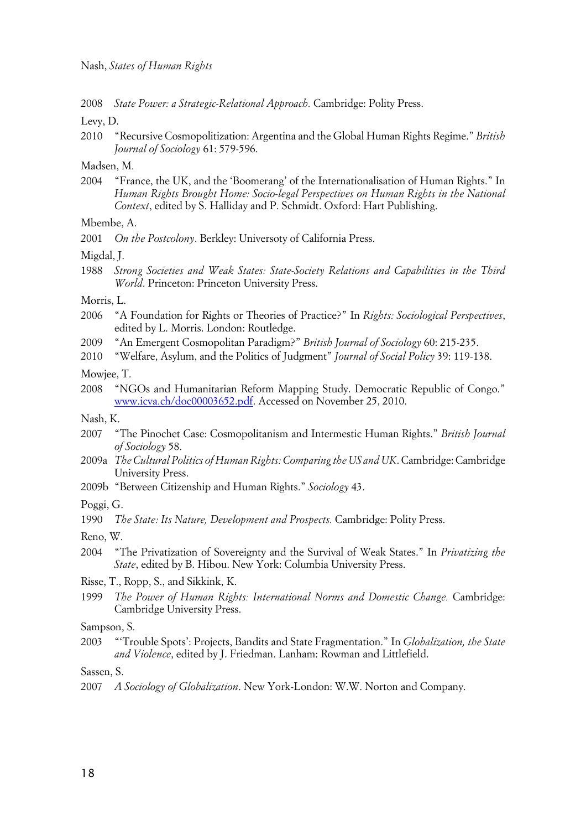2008 *State Power: a Strategic-Relational Approach.* Cambridge: Polity Press.

Levy, D.

2010 "Recursive Cosmopolitization: Argentina and the Global Human Rights Regime." *British Journal of Sociology* 61: 579-596.

Madsen, M.

2004 "France, the UK, and the 'Boomerang' of the Internationalisation of Human Rights." In *Human Rights Brought Home: Socio-legal Perspectives on Human Rights in the National Context*, edited by S. Halliday and P. Schmidt. Oxford: Hart Publishing.

Mbembe, A.

2001 *On the Postcolony*. Berkley: Universoty of California Press.

Migdal, J.

1988 *Strong Societies and Weak States: State-Society Relations and Capabilities in the Third World*. Princeton: Princeton University Press.

Morris, L.

- 2006 "A Foundation for Rights or Theories of Practice?" In *Rights: Sociological Perspectives*, edited by L. Morris. London: Routledge.
- 2009 "An Emergent Cosmopolitan Paradigm?" *British Journal of Sociology* 60: 215-235.
- 2010 "Welfare, Asylum, and the Politics of Judgment" *Journal of Social Policy* 39: 119-138.

Mowjee, T.

2008 "NGOs and Humanitarian Reform Mapping Study. Democratic Republic of Congo." [www.icva.ch/doc00003652.pdf.](http://www.icva.ch/doc00003652.pdf) Accessed on November 25, 2010.

Nash, K.

- 2007 "The Pinochet Case: Cosmopolitanism and Intermestic Human Rights." *British Journal of Sociology* 58.
- 2009a *The Cultural Politics of Human Rights: Comparing the US and UK*. Cambridge: Cambridge University Press.
- 2009b "Between Citizenship and Human Rights." *Sociology* 43.

Poggi, G.

1990 *The State: Its Nature, Development and Prospects.* Cambridge: Polity Press.

Reno, W.

- 2004 "The Privatization of Sovereignty and the Survival of Weak States." In *Privatizing the State*, edited by B. Hibou. New York: Columbia University Press.
- Risse, T., Ropp, S., and Sikkink, K.
- 1999 *The Power of Human Rights: International Norms and Domestic Change.* Cambridge: Cambridge University Press.

Sampson, S.

2003 "'Trouble Spots': Projects, Bandits and State Fragmentation." In *Globalization, the State and Violence*, edited by J. Friedman. Lanham: Rowman and Littlefield.

Sassen, S.

2007 *A Sociology of Globalization*. New York-London: W.W. Norton and Company.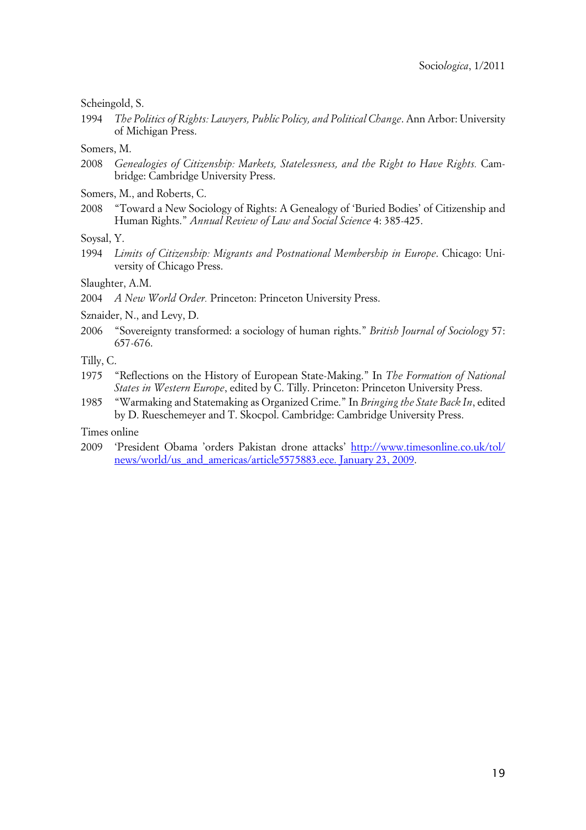Scheingold, S.

1994 *The Politics of Rights: Lawyers, Public Policy, and Political Change*. Ann Arbor: University of Michigan Press.

Somers, M.

- 2008 *Genealogies of Citizenship: Markets, Statelessness, and the Right to Have Rights.* Cambridge: Cambridge University Press.
- Somers, M., and Roberts, C.
- 2008 "Toward a New Sociology of Rights: A Genealogy of 'Buried Bodies' of Citizenship and Human Rights." *Annual Review of Law and Social Science* 4: 385-425.

Soysal, Y.

1994 *Limits of Citizenship: Migrants and Postnational Membership in Europe*. Chicago: University of Chicago Press.

Slaughter, A.M.

2004 *A New World Order.* Princeton: Princeton University Press.

Sznaider, N., and Levy, D.

2006 "Sovereignty transformed: a sociology of human rights." *British Journal of Sociology* 57: 657-676.

Tilly, C.

- 1975 "Reflections on the History of European State-Making." In *The Formation of National States in Western Europe*, edited by C. Tilly. Princeton: Princeton University Press.
- 1985 "Warmaking and Statemaking as Organized Crime." In *Bringing the State Back In*, edited by D. Rueschemeyer and T. Skocpol. Cambridge: Cambridge University Press.

Times online

2009 'President Obama 'orders Pakistan drone attacks' [http://www.timesonline.co.uk/tol/](http://www.timesonline.co.uk/tol/news/world/us_and_americas/article5575883.ece.%20January%2023,%202009) [news/world/us\\_and\\_americas/article5575883.ece. January 23, 2009.](http://www.timesonline.co.uk/tol/news/world/us_and_americas/article5575883.ece.%20January%2023,%202009)